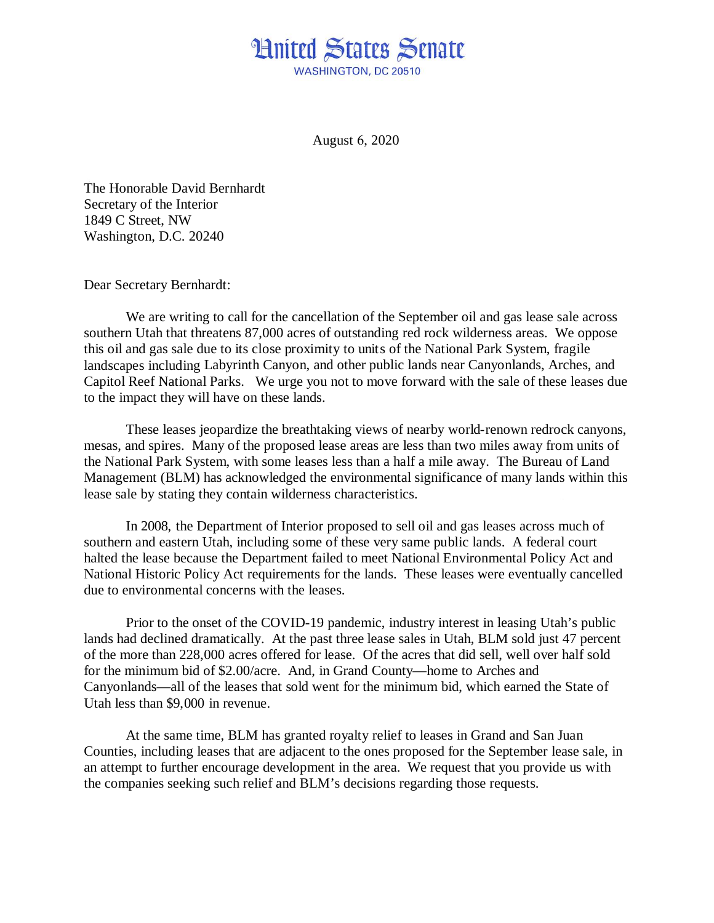## **Hnited States Senate** WASHINGTON, DC 20510

August 6, 2020

The Honorable David Bernhardt Secretary of the Interior 1849 C Street, NW Washington, D.C. 20240

Dear Secretary Bernhardt:

We are writing to call for the cancellation of the September oil and gas lease sale across southern Utah that threatens 87,000 acres of outstanding red rock wilderness areas. We oppose this oil and gas sale due to its close proximity to units of the National Park System, fragile landscapes including Labyrinth Canyon, and other public lands near Canyonlands, Arches, and Capitol Reef National Parks. We urge you not to move forward with the sale of these leases due to the impact they will have on these lands.

These leases jeopardize the breathtaking views of nearby world-renown redrock canyons, mesas, and spires. Many of the proposed lease areas are less than two miles away from units of the National Park System, with some leases less than a half a mile away. The Bureau of Land Management (BLM) has acknowledged the environmental significance of many lands within this lease sale by stating they contain wilderness characteristics.

In 2008, the Department of Interior proposed to sell oil and gas leases across much of southern and eastern Utah, including some of these very same public lands. A federal court halted the lease because the Department failed to meet National Environmental Policy Act and National Historic Policy Act requirements for the lands. These leases were eventually cancelled due to environmental concerns with the leases.

Prior to the onset of the COVID-19 pandemic, industry interest in leasing Utah's public lands had declined dramatically. At the past three lease sales in Utah, BLM sold just 47 percent of the more than 228,000 acres offered for lease. Of the acres that did sell, well over half sold for the minimum bid of \$2.00/acre. And, in Grand County—home to Arches and Canyonlands—all of the leases that sold went for the minimum bid, which earned the State of Utah less than \$9,000 in revenue.

At the same time, BLM has granted royalty relief to leases in Grand and San Juan Counties, including leases that are adjacent to the ones proposed for the September lease sale, in an attempt to further encourage development in the area. We request that you provide us with the companies seeking such relief and BLM's decisions regarding those requests.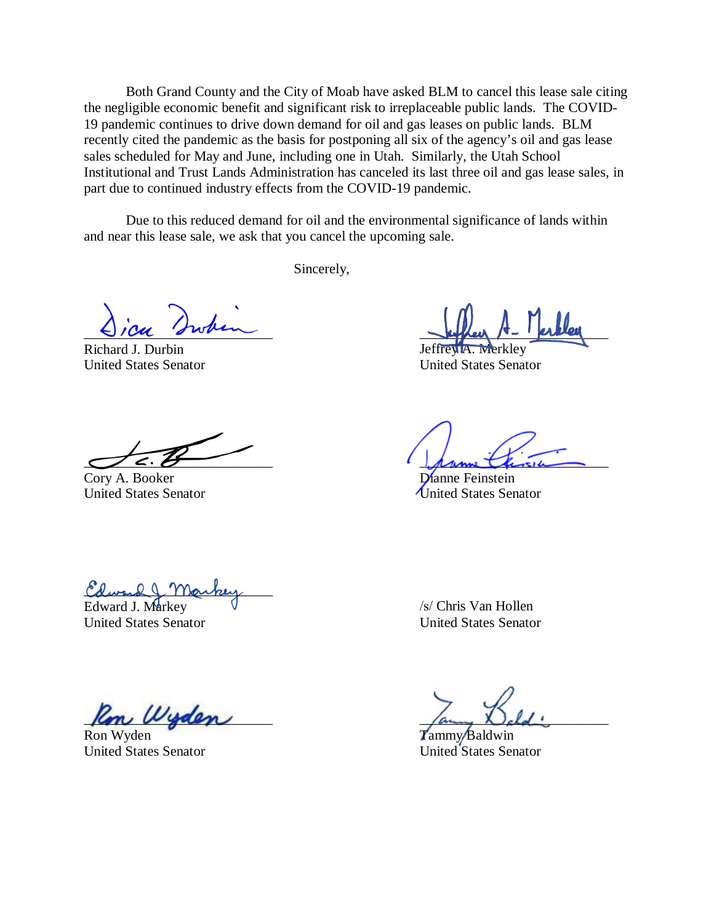Both Grand County and the City of Moab have asked BLM to cancel this lease sale citing the negligible economic benefit and significant risk to irreplaceable public lands. The COVID-19 pandemic continues to drive down demand for oil and gas leases on public lands. BLM recently cited the pandemic as the basis for postponing all six of the agency's oil and gas lease sales scheduled for May and June, including one in Utah. Similarly, the Utah School Institutional and Trust Lands Administration has canceled its last three oil and gas lease sales, in part due to continued industry effects from the COVID-19 pandemic.

Due to this reduced demand for oil and the environmental significance of lands within and near this lease sale, we ask that you cancel the upcoming sale.

Sincerely,

 $\bigcup$  / Cu 's when

Richard J. Durbin Jeffrey A. Merkley

United States Senator United States Senator

Cory A. Booker Dianne Feinstein

 $\sigma$   $\epsilon$ .  $\theta$ 

United States Senator **United States Senator** 

Colward markey

Edward J. Markey United States Senator

/s/ Chris Van Hollen United States Senator

 $\mu$   $\mu$   $\mu$ 

Ron Wyden **Tammy Baldwin** United States Senator United States Senator